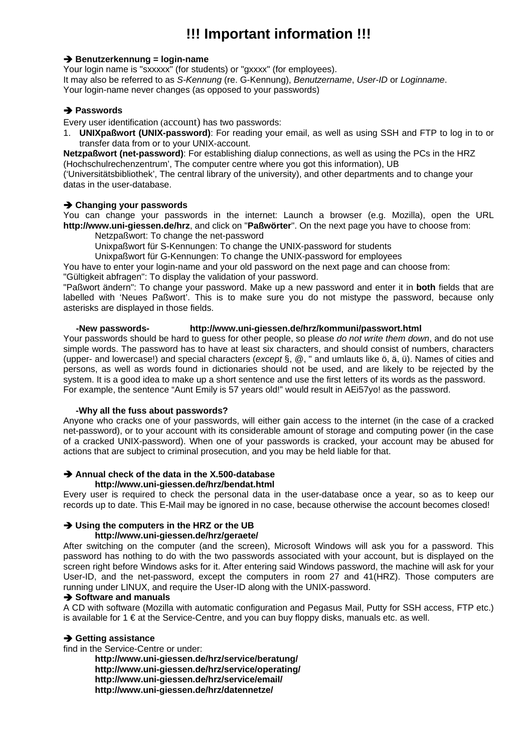# **!!! Important information !!!**

#### **→ Benutzerkennung = login-name**

Your login name is "sxxxxx" (for students) or "gxxxx" (for employees). It may also be referred to as *S-Kennung* (re. G-Kennung), *Benutzername*, *User-ID* or *Loginname*. Your login-name never changes (as opposed to your passwords)

# **→ Passwords**

Every user identification (account) has two passwords:

1. **UNIXpaßwort (UNIX-password)**: For reading your email, as well as using SSH and FTP to log in to or transfer data from or to your UNIX-account.

**Netzpaßwort (net-password)**: For establishing dialup connections, as well as using the PCs in the HRZ (Hochschulrechenzentrum', The computer centre where you got this information), UB

('Universitätsbibliothek', The central library of the university), and other departments and to change your datas in the user-database.

#### **→ Changing your passwords**

You can change your passwords in the internet: Launch a browser (e.g. Mozilla), open the URL **http://www.uni-giessen.de/hrz**, and click on "**Paßwörter**". On the next page you have to choose from:

Netzpaßwort: To change the net-password

Unixpaßwort für S-Kennungen: To change the UNIX-password for students

Unixpaßwort für G-Kennungen: To change the UNIX-password for employees

You have to enter your login-name and your old password on the next page and can choose from:

"Gültigkeit abfragen": To display the validation of your password.

"Paßwort ändern": To change your password. Make up a new password and enter it in **both** fields that are labelled with 'Neues Paßwort'. This is to make sure you do not mistype the password, because only asterisks are displayed in those fields.

# **-New passwords- http://www.uni-giessen.de/hrz/kommuni/passwort.html**

Your passwords should be hard to guess for other people, so please *do not write them down*, and do not use simple words. The password has to have at least six characters, and should consist of numbers, characters (upper- and lowercase!) and special characters (*except* §, @, " and umlauts like ö, ä, ü). Names of cities and persons, as well as words found in dictionaries should not be used, and are likely to be rejected by the system. It is a good idea to make up a short sentence and use the first letters of its words as the password. For example, the sentence "Aunt Emily is 57 years old!" would result in AEi57yo! as the password.

# **-Why all the fuss about passwords?**

Anyone who cracks one of your passwords, will either gain access to the internet (in the case of a cracked net-password), or to your account with its considerable amount of storage and computing power (in the case of a cracked UNIX-password). When one of your passwords is cracked, your account may be abused for actions that are subject to criminal prosecution, and you may be held liable for that.

# **→ Annual check of the data in the X.500-database**

#### **http://www.uni-giessen.de/hrz/bendat.html**

Every user is required to check the personal data in the user-database once a year, so as to keep our records up to date. This E-Mail may be ignored in no case, because otherwise the account becomes closed!

# **→ Using the computers in the HRZ or the UB**

# **http://www.uni-giessen.de/hrz/geraete/**

After switching on the computer (and the screen), Microsoft Windows will ask you for a password. This password has nothing to do with the two passwords associated with your account, but is displayed on the screen right before Windows asks for it. After entering said Windows password, the machine will ask for your User-ID, and the net-password, except the computers in room 27 and 41(HRZ). Those computers are running under LINUX, and require the User-ID along with the UNIX-password.

# $→$  **Software and manuals**

A CD with software (Mozilla with automatic configuration and Pegasus Mail, Putty for SSH access, FTP etc.) is available for  $1 \in \mathfrak{a}$  the Service-Centre, and you can buy floppy disks, manuals etc. as well.

#### **→ Getting assistance**

find in the Service-Centre or under:

**http://www.uni-giessen.de/hrz/service/beratung/ http://www.uni-giessen.de/hrz/service/operating/ http://www.uni-giessen.de/hrz/service/email/ http://www.uni-giessen.de/hrz/datennetze/**